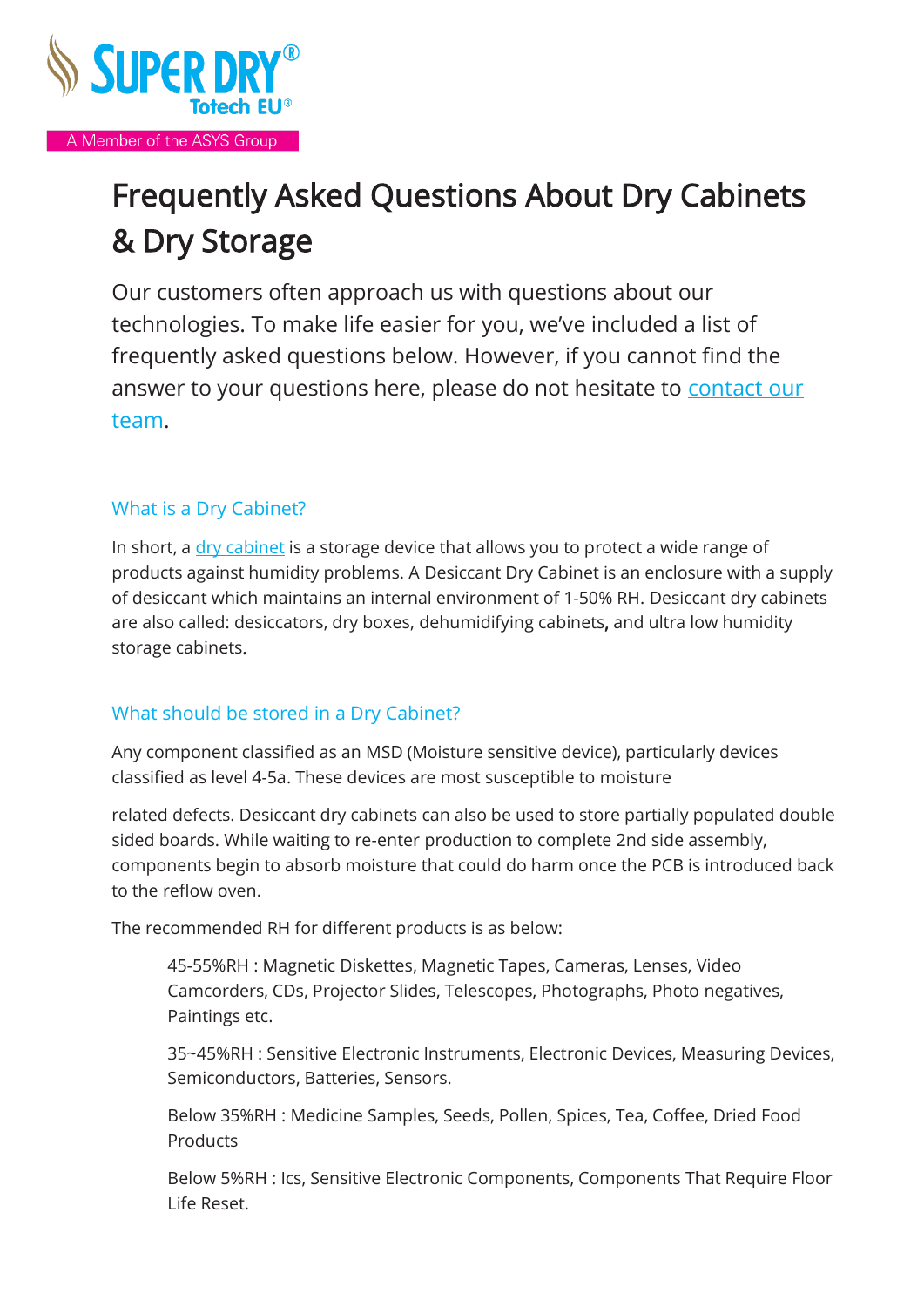

# Frequently Asked Questions About Dry Cabinets & Dry Storage

Our customers often approach us with questions about our technologies. To make life easier for you, we've included a list of frequently asked questions below. However, if you cannot find the answer to your questions here, please do not hesitate to [contact](https://www.superdry-totech.com/contact/) our [team.](https://www.superdry-totech.com/contact/)

# What is a Dry Cabinet?

In short, a  $\frac{div}{c}$  [cabinet](https://www.superdry-totech.com/desiccant-dry-cabinets/) is a storage device that allows you to protect a wide range of products against humidity problems. A Desiccant Dry Cabinet is an enclosure with a supply of desiccant which maintains an internal environment of 1-50% RH. Desiccant dry cabinets are also called: desiccators, dry boxes, dehumidifying cabinets, and ultra low humidity storage cabinets.

# What should be stored in a Dry Cabinet?

Any component classified as an MSD (Moisture sensitive device), particularly devices classified as level 4-5a. These devices are most susceptible to moisture

related defects. Desiccant dry cabinets can also be used to store partially populated double sided boards. While waiting to re-enter production to complete 2nd side assembly, components begin to absorb moisture that could do harm once the PCB is introduced back to the reflow oven.

The recommended RH for different products is as below:

45-55%RH : Magnetic Diskettes, Magnetic Tapes, Cameras, Lenses, Video Camcorders, CDs, Projector Slides, Telescopes, Photographs, Photo negatives, Paintings etc.

35~45%RH : Sensitive Electronic Instruments, Electronic Devices, Measuring Devices, Semiconductors, Batteries, Sensors.

Below 35%RH : Medicine Samples, Seeds, Pollen, Spices, Tea, Coffee, Dried Food **Products** 

Below 5%RH : Ics, Sensitive Electronic Components, Components That Require Floor Life Reset.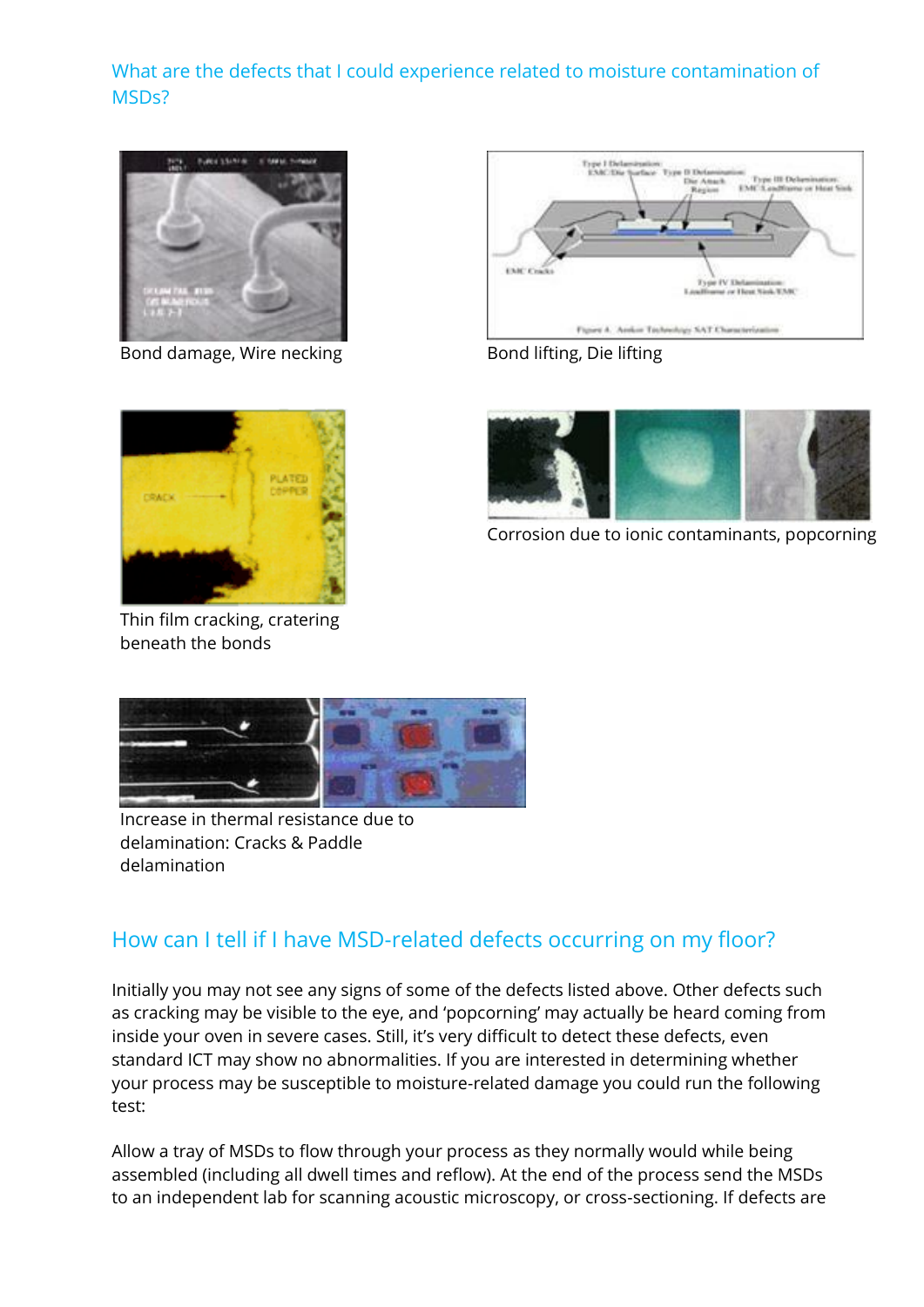# What are the defects that I could experience related to moisture contamination of MSDs?



Bond damage, Wire necking Bond lifting, Die lifting





Thin film cracking, cratering beneath the bonds



Corrosion due to ionic contaminants, popcorning



Increase in thermal resistance due to delamination: Cracks & Paddle delamination

# How can I tell if I have MSD-related defects occurring on my floor?

Initially you may not see any signs of some of the defects listed above. Other defects such as cracking may be visible to the eye, and 'popcorning' may actually be heard coming from inside your oven in severe cases. Still, it's very difficult to detect these defects, even standard ICT may show no abnormalities. If you are interested in determining whether your process may be susceptible to moisture-related damage you could run the following test:

Allow a tray of MSDs to flow through your process as they normally would while being assembled (including all dwell times and reflow). At the end of the process send the MSDs to an independent lab for scanning acoustic microscopy, or cross-sectioning. If defects are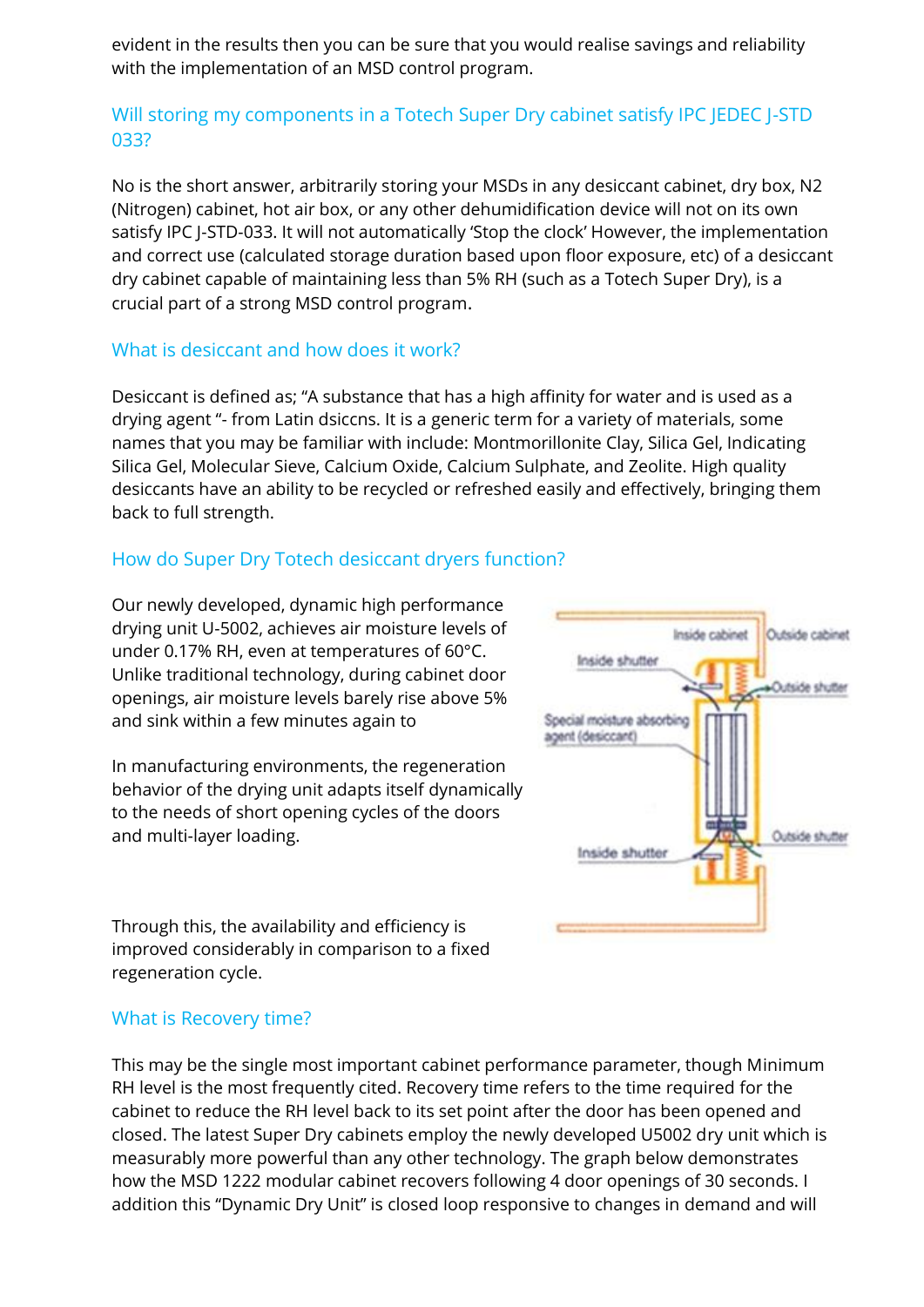evident in the results then you can be sure that you would realise savings and reliability with the implementation of an MSD control program.

# Will storing my components in a Totech Super Dry cabinet satisfy IPC JEDEC J-STD 033?

No is the short answer, arbitrarily storing your MSDs in any desiccant cabinet, dry box, N2 (Nitrogen) cabinet, hot air box, or any other dehumidification device will not on its own satisfy IPC J-STD-033. It will not automatically 'Stop the clock' However, the implementation and correct use (calculated storage duration based upon floor exposure, etc) of a desiccant dry cabinet capable of maintaining less than 5% RH (such as a Totech Super Dry), is a crucial part of a strong MSD control program.

#### What is desiccant and how does it work?

Desiccant is defined as; "A substance that has a high affinity for water and is used as a drying agent "- from Latin dsiccns. It is a generic term for a variety of materials, some names that you may be familiar with include: Montmorillonite Clay, Silica Gel, Indicating Silica Gel, Molecular Sieve, Calcium Oxide, Calcium Sulphate, and Zeolite. High quality desiccants have an ability to be recycled or refreshed easily and effectively, bringing them back to full strength.

# How do Super Dry Totech desiccant dryers function?

Our newly developed, dynamic high performance drying unit U-5002, achieves air moisture levels of under 0.17% RH, even at temperatures of 60°C. Unlike traditional technology, during cabinet door openings, air moisture levels barely rise above 5% and sink within a few minutes again to

In manufacturing environments, the regeneration behavior of the drying unit adapts itself dynamically to the needs of short opening cycles of the doors and multi-layer loading.

Through this, the availability and efficiency is improved considerably in comparison to a fixed regeneration cycle.



#### What is Recovery time?

This may be the single most important cabinet performance parameter, though Minimum RH level is the most frequently cited. Recovery time refers to the time required for the cabinet to reduce the RH level back to its set point after the door has been opened and closed. The latest Super Dry cabinets employ the newly developed U5002 dry unit which is measurably more powerful than any other technology. The graph below demonstrates how the MSD 1222 modular cabinet recovers following 4 door openings of 30 seconds. I addition this "Dynamic Dry Unit" is closed loop responsive to changes in demand and will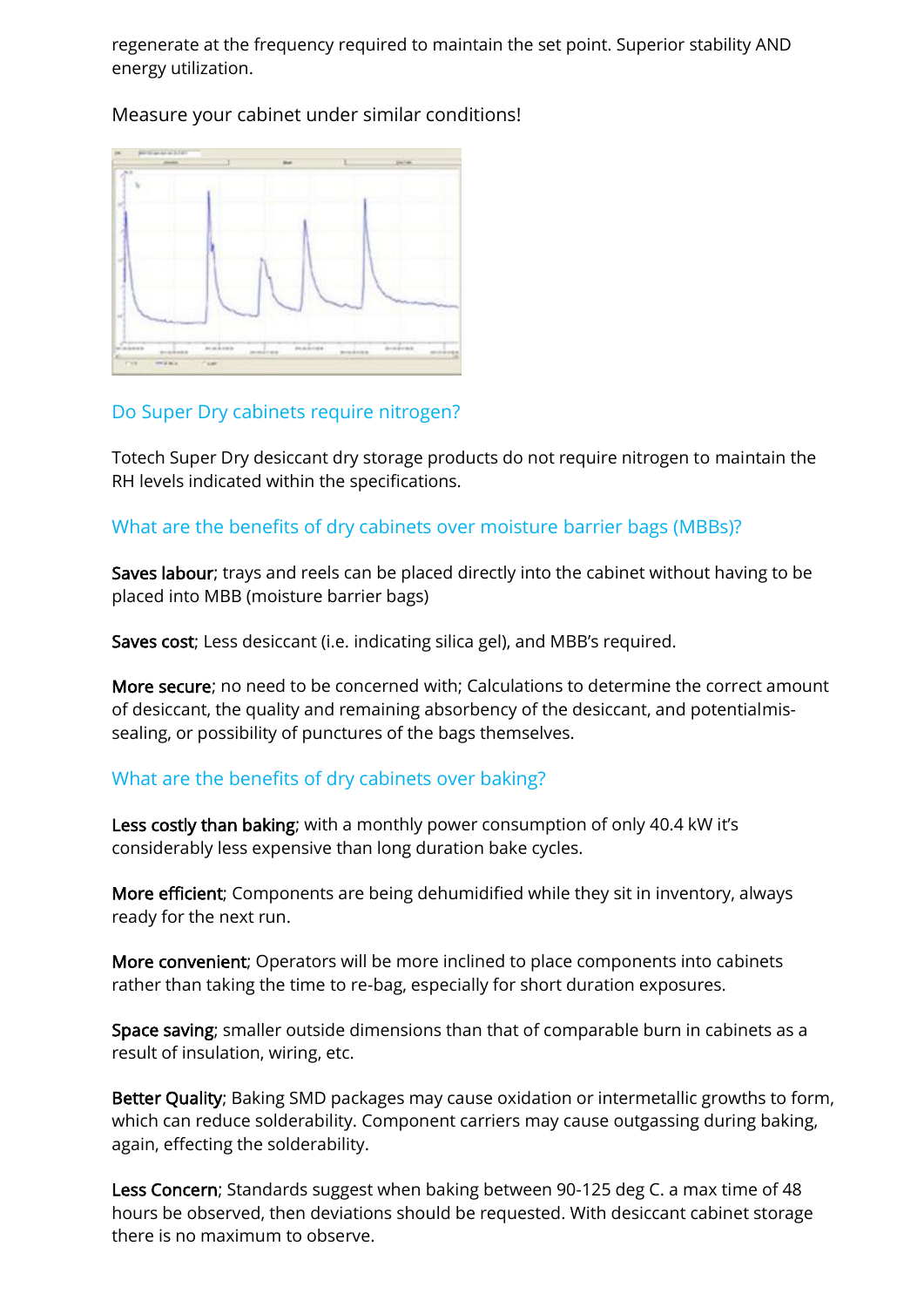regenerate at the frequency required to maintain the set point. Superior stability AND energy utilization.

Measure your cabinet under similar conditions!



#### Do Super Dry cabinets require nitrogen?

Totech Super Dry desiccant dry storage products do not require nitrogen to maintain the RH levels indicated within the specifications.

#### What are the benefits of dry cabinets over moisture barrier bags (MBBs)?

Saves labour; trays and reels can be placed directly into the cabinet without having to be placed into MBB (moisture barrier bags)

Saves cost; Less desiccant (i.e. indicating silica gel), and MBB's required.

More secure; no need to be concerned with; Calculations to determine the correct amount of desiccant, the quality and remaining absorbency of the desiccant, and potentialmissealing, or possibility of punctures of the bags themselves.

# What are the benefits of dry cabinets over baking?

Less costly than baking; with a monthly power consumption of only 40.4 kW it's considerably less expensive than long duration bake cycles.

More efficient; Components are being dehumidified while they sit in inventory, always ready for the next run.

More convenient; Operators will be more inclined to place components into cabinets rather than taking the time to re-bag, especially for short duration exposures.

Space saving; smaller outside dimensions than that of comparable burn in cabinets as a result of insulation, wiring, etc.

Better Quality; Baking SMD packages may cause oxidation or intermetallic growths to form, which can reduce solderability. Component carriers may cause outgassing during baking, again, effecting the solderability.

Less Concern; Standards suggest when baking between 90-125 deg C. a max time of 48 hours be observed, then deviations should be requested. With desiccant cabinet storage there is no maximum to observe.